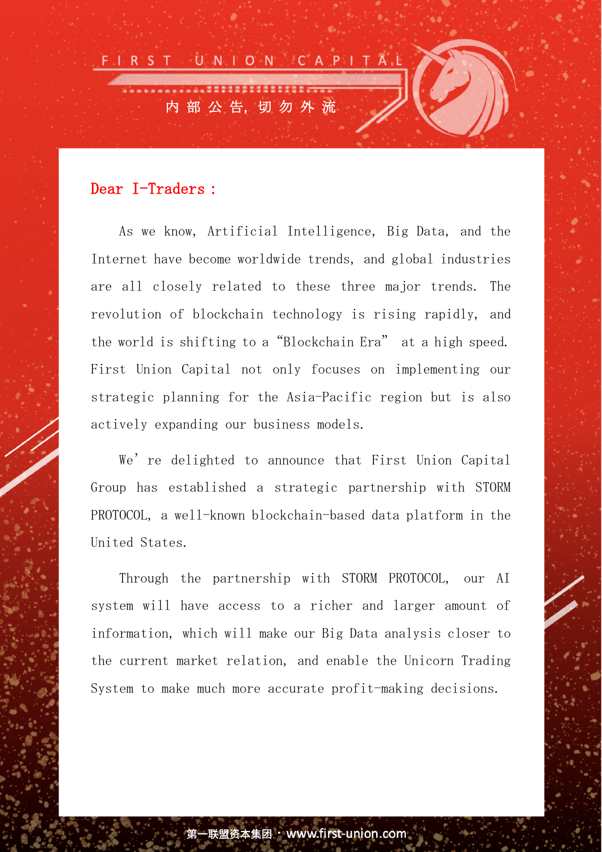

## Dear I-Traders:

As we know, Artificial Intelligence, Big Data, and the Internet have become worldwide trends, and global industries are all closely related to these three major trends. The revolution of blockchain technology is rising rapidly, and the world is shifting to a"Blockchain Era" at a high speed. First Union Capital not only focuses on implementing our strategic planning for the Asia-Pacific region but is also actively expanding our business models.

We're delighted to announce that First Union Capital Group has established a strategic partnership with STORM PROTOCOL, a well-known blockchain-based data platform in the United States.

Through the partnership with STORM PROTOCOL, our AI system will have access to a richer and larger amount of information, which will make our Big Data analysis closer to the current market relation, and enable the Unicorn Trading System to make much more accurate profit-making decisions.